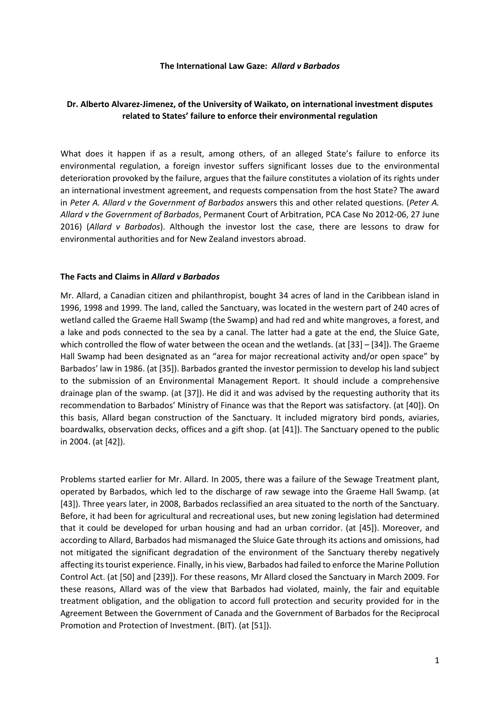#### **The International Law Gaze:** *Allard v Barbados*

# **Dr. Alberto Alvarez-Jimenez, of the University of Waikato, on international investment disputes related to States' failure to enforce their environmental regulation**

What does it happen if as a result, among others, of an alleged State's failure to enforce its environmental regulation, a foreign investor suffers significant losses due to the environmental deterioration provoked by the failure, argues that the failure constitutes a violation of its rights under an international investment agreement, and requests compensation from the host State? The award in *Peter A. Allard v the Government of Barbados* answers this and other related questions. (*Peter A. Allard v the Government of Barbados*, Permanent Court of Arbitration, PCA Case No 2012-06, 27 June 2016) (*Allard v Barbados*). Although the investor lost the case, there are lessons to draw for environmental authorities and for New Zealand investors abroad.

#### **The Facts and Claims in** *Allard v Barbados*

Mr. Allard, a Canadian citizen and philanthropist, bought 34 acres of land in the Caribbean island in 1996, 1998 and 1999. The land, called the Sanctuary, was located in the western part of 240 acres of wetland called the Graeme Hall Swamp (the Swamp) and had red and white mangroves, a forest, and a lake and pods connected to the sea by a canal. The latter had a gate at the end, the Sluice Gate, which controlled the flow of water between the ocean and the wetlands. (at [33] - [34]). The Graeme Hall Swamp had been designated as an "area for major recreational activity and/or open space" by Barbados' law in 1986. (at [35]). Barbados granted the investor permission to develop his land subject to the submission of an Environmental Management Report. It should include a comprehensive drainage plan of the swamp. (at [37]). He did it and was advised by the requesting authority that its recommendation to Barbados' Ministry of Finance was that the Report was satisfactory. (at [40]). On this basis, Allard began construction of the Sanctuary. It included migratory bird ponds, aviaries, boardwalks, observation decks, offices and a gift shop. (at [41]). The Sanctuary opened to the public in 2004. (at [42]).

Problems started earlier for Mr. Allard. In 2005, there was a failure of the Sewage Treatment plant, operated by Barbados, which led to the discharge of raw sewage into the Graeme Hall Swamp. (at [43]). Three years later, in 2008, Barbados reclassified an area situated to the north of the Sanctuary. Before, it had been for agricultural and recreational uses, but new zoning legislation had determined that it could be developed for urban housing and had an urban corridor. (at [45]). Moreover, and according to Allard, Barbados had mismanaged the Sluice Gate through its actions and omissions, had not mitigated the significant degradation of the environment of the Sanctuary thereby negatively affecting its tourist experience. Finally, in his view, Barbados had failed to enforce the Marine Pollution Control Act. (at [50] and [239]). For these reasons, Mr Allard closed the Sanctuary in March 2009. For these reasons, Allard was of the view that Barbados had violated, mainly, the fair and equitable treatment obligation, and the obligation to accord full protection and security provided for in the Agreement Between the Government of Canada and the Government of Barbados for the Reciprocal Promotion and Protection of Investment. (BIT). (at [51]).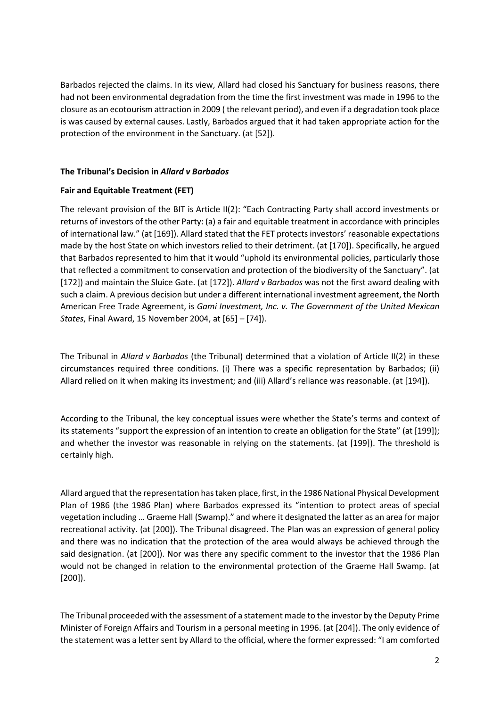Barbados rejected the claims. In its view, Allard had closed his Sanctuary for business reasons, there had not been environmental degradation from the time the first investment was made in 1996 to the closure as an ecotourism attraction in 2009 ( the relevant period), and even if a degradation took place is was caused by external causes. Lastly, Barbados argued that it had taken appropriate action for the protection of the environment in the Sanctuary. (at [52]).

## **The Tribunal's Decision in** *Allard v Barbados*

# **Fair and Equitable Treatment (FET)**

The relevant provision of the BIT is Article II(2): "Each Contracting Party shall accord investments or returns of investors of the other Party: (a) a fair and equitable treatment in accordance with principles of international law." (at [169]). Allard stated that the FET protects investors' reasonable expectations made by the host State on which investors relied to their detriment. (at [170]). Specifically, he argued that Barbados represented to him that it would "uphold its environmental policies, particularly those that reflected a commitment to conservation and protection of the biodiversity of the Sanctuary". (at [172]) and maintain the Sluice Gate. (at [172]). *Allard v Barbados* was not the first award dealing with such a claim. A previous decision but under a different international investment agreement, the North American Free Trade Agreement, is *Gami Investment, Inc. v. The Government of the United Mexican States*, Final Award, 15 November 2004, at [65] – [74]).

The Tribunal in *Allard v Barbados* (the Tribunal) determined that a violation of Article II(2) in these circumstances required three conditions. (i) There was a specific representation by Barbados; (ii) Allard relied on it when making its investment; and (iii) Allard's reliance was reasonable. (at [194]).

According to the Tribunal, the key conceptual issues were whether the State's terms and context of its statements "support the expression of an intention to create an obligation for the State" (at [199]); and whether the investor was reasonable in relying on the statements. (at [199]). The threshold is certainly high.

Allard argued that the representation has taken place, first, in the 1986 National Physical Development Plan of 1986 (the 1986 Plan) where Barbados expressed its "intention to protect areas of special vegetation including … Graeme Hall (Swamp)." and where it designated the latter as an area for major recreational activity. (at [200]). The Tribunal disagreed. The Plan was an expression of general policy and there was no indication that the protection of the area would always be achieved through the said designation. (at [200]). Nor was there any specific comment to the investor that the 1986 Plan would not be changed in relation to the environmental protection of the Graeme Hall Swamp. (at [200]).

The Tribunal proceeded with the assessment of a statement made to the investor by the Deputy Prime Minister of Foreign Affairs and Tourism in a personal meeting in 1996. (at [204]). The only evidence of the statement was a letter sent by Allard to the official, where the former expressed: "I am comforted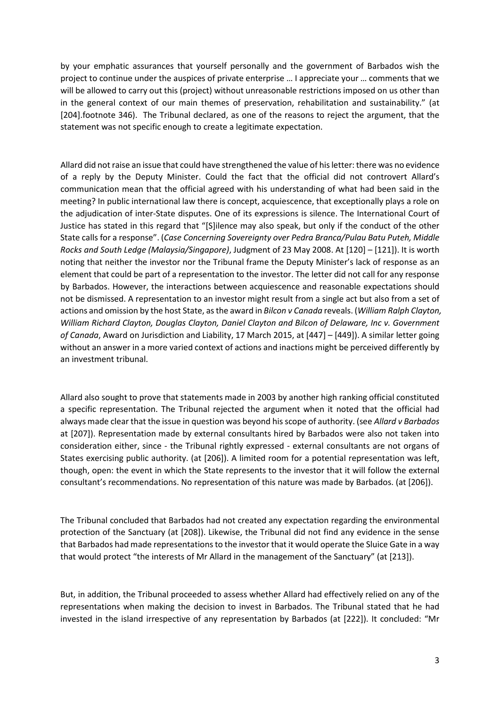by your emphatic assurances that yourself personally and the government of Barbados wish the project to continue under the auspices of private enterprise … I appreciate your … comments that we will be allowed to carry out this (project) without unreasonable restrictions imposed on us other than in the general context of our main themes of preservation, rehabilitation and sustainability." (at [204].footnote 346). The Tribunal declared, as one of the reasons to reject the argument, that the statement was not specific enough to create a legitimate expectation.

Allard did not raise an issue that could have strengthened the value of his letter: there was no evidence of a reply by the Deputy Minister. Could the fact that the official did not controvert Allard's communication mean that the official agreed with his understanding of what had been said in the meeting? In public international law there is concept, acquiescence, that exceptionally plays a role on the adjudication of inter-State disputes. One of its expressions is silence. The International Court of Justice has stated in this regard that "[S]ilence may also speak, but only if the conduct of the other State calls for a response". (*Case Concerning Sovereignty over Pedra Branca/Pulau Batu Puteh, Middle Rocks and South Ledge (Malaysia/Singapore)*, Judgment of 23 May 2008. At [120] – [121]). It is worth noting that neither the investor nor the Tribunal frame the Deputy Minister's lack of response as an element that could be part of a representation to the investor. The letter did not call for any response by Barbados. However, the interactions between acquiescence and reasonable expectations should not be dismissed. A representation to an investor might result from a single act but also from a set of actions and omission by the host State, as the award in *Bilcon v Canada* reveals. (*William Ralph Clayton, William Richard Clayton, Douglas Clayton, Daniel Clayton and Bilcon of Delaware, Inc v. Government of Canada*, Award on Jurisdiction and Liability, 17 March 2015, at [447] – [449]). A similar letter going without an answer in a more varied context of actions and inactions might be perceived differently by an investment tribunal.

Allard also sought to prove that statements made in 2003 by another high ranking official constituted a specific representation. The Tribunal rejected the argument when it noted that the official had always made clear that the issue in question was beyond his scope of authority. (see *Allard v Barbados*  at [207]). Representation made by external consultants hired by Barbados were also not taken into consideration either, since - the Tribunal rightly expressed - external consultants are not organs of States exercising public authority. (at [206]). A limited room for a potential representation was left, though, open: the event in which the State represents to the investor that it will follow the external consultant's recommendations. No representation of this nature was made by Barbados. (at [206]).

The Tribunal concluded that Barbados had not created any expectation regarding the environmental protection of the Sanctuary (at [208]). Likewise, the Tribunal did not find any evidence in the sense that Barbados had made representations to the investor that it would operate the Sluice Gate in a way that would protect "the interests of Mr Allard in the management of the Sanctuary" (at [213]).

But, in addition, the Tribunal proceeded to assess whether Allard had effectively relied on any of the representations when making the decision to invest in Barbados. The Tribunal stated that he had invested in the island irrespective of any representation by Barbados (at [222]). It concluded: "Mr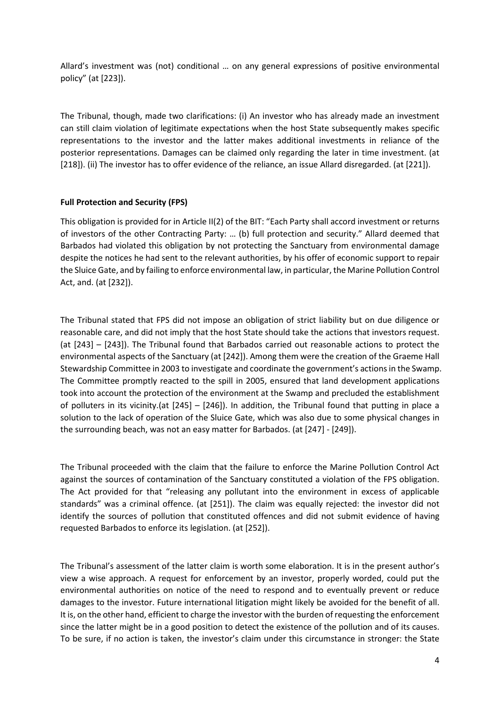Allard's investment was (not) conditional … on any general expressions of positive environmental policy" (at [223]).

The Tribunal, though, made two clarifications: (i) An investor who has already made an investment can still claim violation of legitimate expectations when the host State subsequently makes specific representations to the investor and the latter makes additional investments in reliance of the posterior representations. Damages can be claimed only regarding the later in time investment. (at [218]). (ii) The investor has to offer evidence of the reliance, an issue Allard disregarded. (at [221]).

# **Full Protection and Security (FPS)**

This obligation is provided for in Article II(2) of the BIT: "Each Party shall accord investment or returns of investors of the other Contracting Party: … (b) full protection and security." Allard deemed that Barbados had violated this obligation by not protecting the Sanctuary from environmental damage despite the notices he had sent to the relevant authorities, by his offer of economic support to repair the Sluice Gate, and by failing to enforce environmental law, in particular, the Marine Pollution Control Act, and. (at [232]).

The Tribunal stated that FPS did not impose an obligation of strict liability but on due diligence or reasonable care, and did not imply that the host State should take the actions that investors request. (at [243] – [243]). The Tribunal found that Barbados carried out reasonable actions to protect the environmental aspects of the Sanctuary (at [242]). Among them were the creation of the Graeme Hall Stewardship Committee in 2003 to investigate and coordinate the government's actions in the Swamp. The Committee promptly reacted to the spill in 2005, ensured that land development applications took into account the protection of the environment at the Swamp and precluded the establishment of polluters in its vicinity.(at [245] – [246]). In addition, the Tribunal found that putting in place a solution to the lack of operation of the Sluice Gate, which was also due to some physical changes in the surrounding beach, was not an easy matter for Barbados. (at [247] - [249]).

The Tribunal proceeded with the claim that the failure to enforce the Marine Pollution Control Act against the sources of contamination of the Sanctuary constituted a violation of the FPS obligation. The Act provided for that "releasing any pollutant into the environment in excess of applicable standards" was a criminal offence. (at [251]). The claim was equally rejected: the investor did not identify the sources of pollution that constituted offences and did not submit evidence of having requested Barbados to enforce its legislation. (at [252]).

The Tribunal's assessment of the latter claim is worth some elaboration. It is in the present author's view a wise approach. A request for enforcement by an investor, properly worded, could put the environmental authorities on notice of the need to respond and to eventually prevent or reduce damages to the investor. Future international litigation might likely be avoided for the benefit of all. It is, on the other hand, efficient to charge the investor with the burden of requesting the enforcement since the latter might be in a good position to detect the existence of the pollution and of its causes. To be sure, if no action is taken, the investor's claim under this circumstance in stronger: the State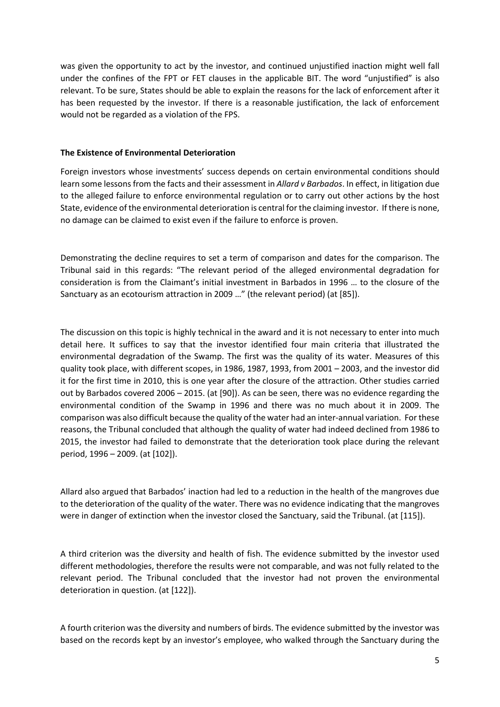was given the opportunity to act by the investor, and continued unjustified inaction might well fall under the confines of the FPT or FET clauses in the applicable BIT. The word "unjustified" is also relevant. To be sure, States should be able to explain the reasons for the lack of enforcement after it has been requested by the investor. If there is a reasonable justification, the lack of enforcement would not be regarded as a violation of the FPS.

### **The Existence of Environmental Deterioration**

Foreign investors whose investments' success depends on certain environmental conditions should learn some lessons from the facts and their assessment in *Allard v Barbados*. In effect, in litigation due to the alleged failure to enforce environmental regulation or to carry out other actions by the host State, evidence of the environmental deterioration is central for the claiming investor. If there is none, no damage can be claimed to exist even if the failure to enforce is proven.

Demonstrating the decline requires to set a term of comparison and dates for the comparison. The Tribunal said in this regards: "The relevant period of the alleged environmental degradation for consideration is from the Claimant's initial investment in Barbados in 1996 … to the closure of the Sanctuary as an ecotourism attraction in 2009 …" (the relevant period) (at [85]).

The discussion on this topic is highly technical in the award and it is not necessary to enter into much detail here. It suffices to say that the investor identified four main criteria that illustrated the environmental degradation of the Swamp. The first was the quality of its water. Measures of this quality took place, with different scopes, in 1986, 1987, 1993, from 2001 – 2003, and the investor did it for the first time in 2010, this is one year after the closure of the attraction. Other studies carried out by Barbados covered 2006 – 2015. (at [90]). As can be seen, there was no evidence regarding the environmental condition of the Swamp in 1996 and there was no much about it in 2009. The comparison was also difficult because the quality of the water had an inter-annual variation. For these reasons, the Tribunal concluded that although the quality of water had indeed declined from 1986 to 2015, the investor had failed to demonstrate that the deterioration took place during the relevant period, 1996 – 2009. (at [102]).

Allard also argued that Barbados' inaction had led to a reduction in the health of the mangroves due to the deterioration of the quality of the water. There was no evidence indicating that the mangroves were in danger of extinction when the investor closed the Sanctuary, said the Tribunal. (at [115]).

A third criterion was the diversity and health of fish. The evidence submitted by the investor used different methodologies, therefore the results were not comparable, and was not fully related to the relevant period. The Tribunal concluded that the investor had not proven the environmental deterioration in question. (at [122]).

A fourth criterion was the diversity and numbers of birds. The evidence submitted by the investor was based on the records kept by an investor's employee, who walked through the Sanctuary during the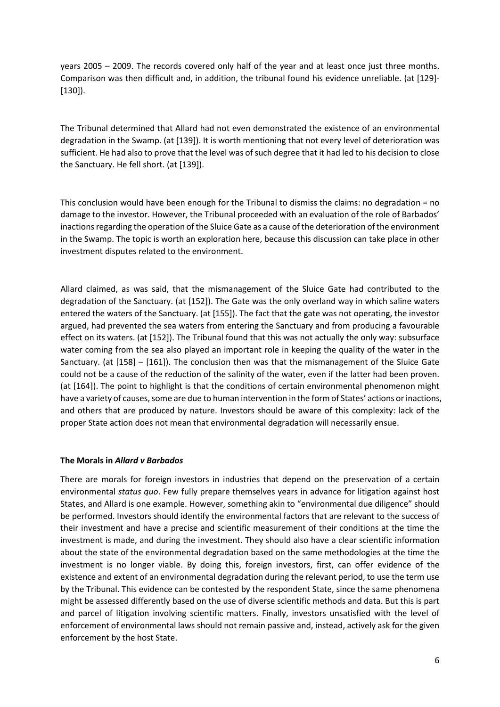years 2005 – 2009. The records covered only half of the year and at least once just three months. Comparison was then difficult and, in addition, the tribunal found his evidence unreliable. (at [129]- [130]).

The Tribunal determined that Allard had not even demonstrated the existence of an environmental degradation in the Swamp. (at [139]). It is worth mentioning that not every level of deterioration was sufficient. He had also to prove that the level was of such degree that it had led to his decision to close the Sanctuary. He fell short. (at [139]).

This conclusion would have been enough for the Tribunal to dismiss the claims: no degradation = no damage to the investor. However, the Tribunal proceeded with an evaluation of the role of Barbados' inactions regarding the operation of the Sluice Gate as a cause of the deterioration of the environment in the Swamp. The topic is worth an exploration here, because this discussion can take place in other investment disputes related to the environment.

Allard claimed, as was said, that the mismanagement of the Sluice Gate had contributed to the degradation of the Sanctuary. (at [152]). The Gate was the only overland way in which saline waters entered the waters of the Sanctuary. (at [155]). The fact that the gate was not operating, the investor argued, had prevented the sea waters from entering the Sanctuary and from producing a favourable effect on its waters. (at [152]). The Tribunal found that this was not actually the only way: subsurface water coming from the sea also played an important role in keeping the quality of the water in the Sanctuary. (at [158] – [161]). The conclusion then was that the mismanagement of the Sluice Gate could not be a cause of the reduction of the salinity of the water, even if the latter had been proven. (at [164]). The point to highlight is that the conditions of certain environmental phenomenon might have a variety of causes, some are due to human intervention in the form of States' actions or inactions, and others that are produced by nature. Investors should be aware of this complexity: lack of the proper State action does not mean that environmental degradation will necessarily ensue.

### **The Morals in** *Allard v Barbados*

There are morals for foreign investors in industries that depend on the preservation of a certain environmental *status quo*. Few fully prepare themselves years in advance for litigation against host States, and Allard is one example. However, something akin to "environmental due diligence" should be performed. Investors should identify the environmental factors that are relevant to the success of their investment and have a precise and scientific measurement of their conditions at the time the investment is made, and during the investment. They should also have a clear scientific information about the state of the environmental degradation based on the same methodologies at the time the investment is no longer viable. By doing this, foreign investors, first, can offer evidence of the existence and extent of an environmental degradation during the relevant period, to use the term use by the Tribunal. This evidence can be contested by the respondent State, since the same phenomena might be assessed differently based on the use of diverse scientific methods and data. But this is part and parcel of litigation involving scientific matters. Finally, investors unsatisfied with the level of enforcement of environmental laws should not remain passive and, instead, actively ask for the given enforcement by the host State.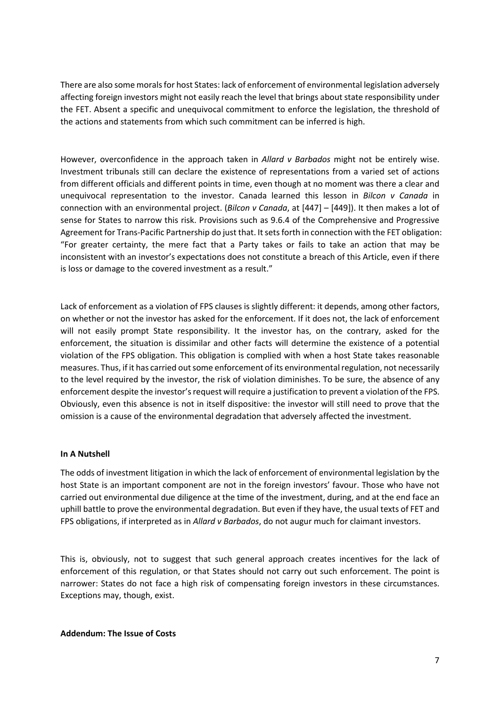There are also some morals for host States: lack of enforcement of environmental legislation adversely affecting foreign investors might not easily reach the level that brings about state responsibility under the FET. Absent a specific and unequivocal commitment to enforce the legislation, the threshold of the actions and statements from which such commitment can be inferred is high.

However, overconfidence in the approach taken in *Allard v Barbados* might not be entirely wise. Investment tribunals still can declare the existence of representations from a varied set of actions from different officials and different points in time, even though at no moment was there a clear and unequivocal representation to the investor. Canada learned this lesson in *Bilcon v Canada* in connection with an environmental project. (*Bilcon v Canada*, at [447] – [449]). It then makes a lot of sense for States to narrow this risk. Provisions such as 9.6.4 of the Comprehensive and Progressive Agreement for Trans-Pacific Partnership do just that. It sets forth in connection with the FET obligation: "For greater certainty, the mere fact that a Party takes or fails to take an action that may be inconsistent with an investor's expectations does not constitute a breach of this Article, even if there is loss or damage to the covered investment as a result."

Lack of enforcement as a violation of FPS clauses is slightly different: it depends, among other factors, on whether or not the investor has asked for the enforcement. If it does not, the lack of enforcement will not easily prompt State responsibility. It the investor has, on the contrary, asked for the enforcement, the situation is dissimilar and other facts will determine the existence of a potential violation of the FPS obligation. This obligation is complied with when a host State takes reasonable measures. Thus, if it has carried out some enforcement of its environmental regulation, not necessarily to the level required by the investor, the risk of violation diminishes. To be sure, the absence of any enforcement despite the investor's request will require a justification to prevent a violation of the FPS. Obviously, even this absence is not in itself dispositive: the investor will still need to prove that the omission is a cause of the environmental degradation that adversely affected the investment.

### **In A Nutshell**

The odds of investment litigation in which the lack of enforcement of environmental legislation by the host State is an important component are not in the foreign investors' favour. Those who have not carried out environmental due diligence at the time of the investment, during, and at the end face an uphill battle to prove the environmental degradation. But even if they have, the usual texts of FET and FPS obligations, if interpreted as in *Allard v Barbados*, do not augur much for claimant investors.

This is, obviously, not to suggest that such general approach creates incentives for the lack of enforcement of this regulation, or that States should not carry out such enforcement. The point is narrower: States do not face a high risk of compensating foreign investors in these circumstances. Exceptions may, though, exist.

**Addendum: The Issue of Costs**